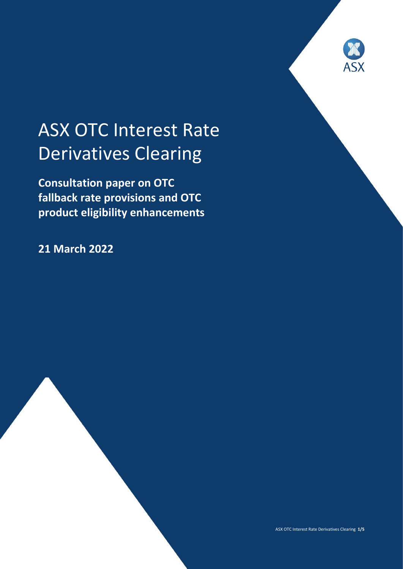

# ASX OTC Interest Rate Derivatives Clearing

**Consultation paper on OTC fallback rate provisions and OTC product eligibility enhancements**

**21 March 2022**



ASX OTC Interest Rate Derivatives Clearing **1/5**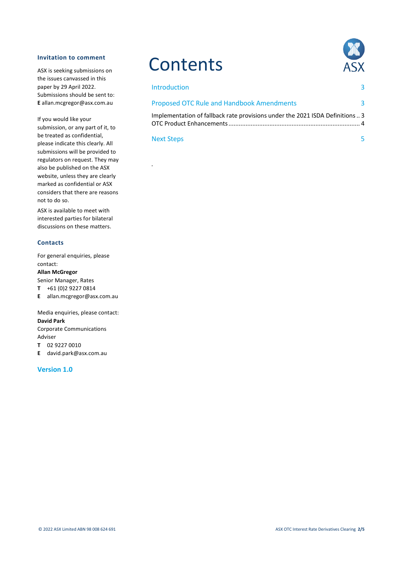#### **Invitation to comment**

ASX is seeking submissions on the issues canvassed in this paper by 29 April 2022. Submissions should be sent to: **E** allan.mcgregor@asx.com.au

If you would like your submission, or any part of it, to be treated as confidential, please indicate this clearly. All submissions will be provided to regulators on request. They may also be published on the ASX website, unless they are clearly marked as confidential or ASX considers that there are reasons not to do so.

ASX is available to meet with interested parties for bilateral discussions on these matters.

#### **Contacts**

For general enquiries, please contact:

#### **Allan McGregor**

Senior Manager, Rates

- **T** +61 (0)2 9227 0814
- **E** allan.mcgregor@asx.com.au

Media enquiries, please contact: **David Park** Corporate Communications Adviser

**T** 02 9227 0010

**E** david.park@asx.com.au

#### **Version 1.0**

## **Contents**



| <b>Introduction</b>                                                         |   |
|-----------------------------------------------------------------------------|---|
| <b>Proposed OTC Rule and Handbook Amendments</b>                            | 3 |
| Implementation of fallback rate provisions under the 2021 ISDA Definitions3 |   |

Next Steps 5

*.*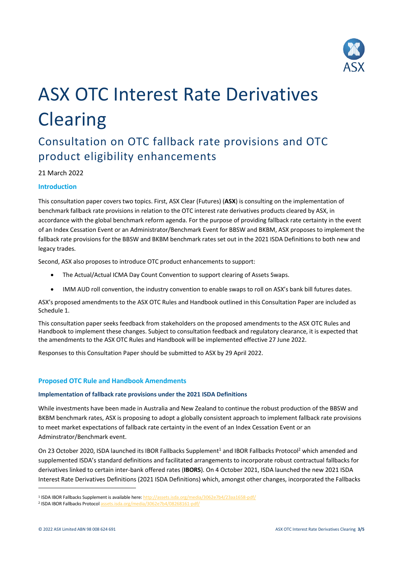

# ASX OTC Interest Rate Derivatives **Clearing**

### Consultation on OTC fallback rate provisions and OTC product eligibility enhancements

#### 21 March 2022

#### **Introduction**

This consultation paper covers two topics. First, ASX Clear (Futures) (**ASX**) is consulting on the implementation of benchmark fallback rate provisions in relation to the OTC interest rate derivatives products cleared by ASX, in accordance with the global benchmark reform agenda. For the purpose of providing fallback rate certainty in the event of an Index Cessation Event or an Administrator/Benchmark Event for BBSW and BKBM, ASX proposes to implement the fallback rate provisions for the BBSW and BKBM benchmark rates set out in the 2021 ISDA Definitions to both new and legacy trades.

Second, ASX also proposes to introduce OTC product enhancements to support:

- The Actual/Actual ICMA Day Count Convention to support clearing of Assets Swaps.
- IMM AUD roll convention, the industry convention to enable swaps to roll on ASX's bank bill futures dates.

ASX's proposed amendments to the ASX OTC Rules and Handbook outlined in this Consultation Paper are included as Schedule 1.

This consultation paper seeks feedback from stakeholders on the proposed amendments to the ASX OTC Rules and Handbook to implement these changes. Subject to consultation feedback and regulatory clearance, it is expected that the amendments to the ASX OTC Rules and Handbook will be implemented effective 27 June 2022.

Responses to this Consultation Paper should be submitted to ASX by 29 April 2022.

#### **Proposed OTC Rule and Handbook Amendments**

#### **Implementation of fallback rate provisions under the 2021 ISDA Definitions**

While investments have been made in Australia and New Zealand to continue the robust production of the BBSW and BKBM benchmark rates, ASX is proposing to adopt a globally consistent approach to implement fallback rate provisions to meet market expectations of fallback rate certainty in the event of an Index Cessation Event or an Adminstrator/Benchmark event.

On 23 October 2020, ISDA launched its IBOR Fallbacks Supplement<sup>1</sup> and IBOR Fallbacks Protocol<sup>2</sup> which amended and supplemented ISDA's standard definitions and facilitated arrangements to incorporate robust contractual fallbacks for derivatives linked to certain inter-bank offered rates (**IBORS**). On 4 October 2021, ISDA launched the new 2021 ISDA Interest Rate Derivatives Definitions (2021 ISDA Definitions) which, amongst other changes, incorporated the Fallbacks

.

<sup>&</sup>lt;sup>1</sup> ISDA IBOR Fallbacks Supplement is available here[: http://assets.isda.org/media/3062e7b4/23aa1658-pdf/](http://assets.isda.org/media/3062e7b4/23aa1658-pdf/)

<sup>&</sup>lt;sup>2</sup> ISDA IBOR Fallbacks Protoco[l assets.isda.org/media/3062e7b4/08268161-pdf/](http://assets.isda.org/media/3062e7b4/08268161-pdf/)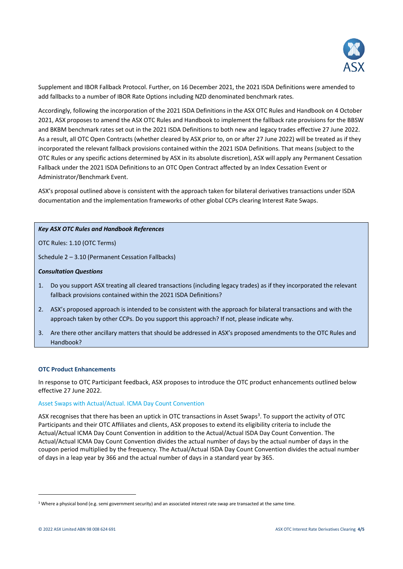

Supplement and IBOR Fallback Protocol. Further, on 16 December 2021, the 2021 ISDA Definitions were amended to add fallbacks to a number of IBOR Rate Options including NZD denominated benchmark rates.

Accordingly, following the incorporation of the 2021 ISDA Definitions in the ASX OTC Rules and Handbook on 4 October 2021, ASX proposes to amend the ASX OTC Rules and Handbook to implement the fallback rate provisions for the BBSW and BKBM benchmark rates set out in the 2021 ISDA Definitions to both new and legacy trades effective 27 June 2022. As a result, all OTC Open Contracts (whether cleared by ASX prior to, on or after 27 June 2022) will be treated as if they incorporated the relevant fallback provisions contained within the 2021 ISDA Definitions. That means (subject to the OTC Rules or any specific actions determined by ASX in its absolute discretion), ASX will apply any Permanent Cessation Fallback under the 2021 ISDA Definitions to an OTC Open Contract affected by an Index Cessation Event or Administrator/Benchmark Event.

ASX's proposal outlined above is consistent with the approach taken for bilateral derivatives transactions under ISDA documentation and the implementation frameworks of other global CCPs clearing Interest Rate Swaps.

#### *Key ASX OTC Rules and Handbook References*

OTC Rules: 1.10 (OTC Terms)

Schedule 2 – 3.10 (Permanent Cessation Fallbacks)

#### *Consultation Questions*

- 1. Do you support ASX treating all cleared transactions (including legacy trades) as if they incorporated the relevant fallback provisions contained within the 2021 ISDA Definitions?
- 2. ASX's proposed approach is intended to be consistent with the approach for bilateral transactions and with the approach taken by other CCPs. Do you support this approach? If not, please indicate why.
- 3. Are there other ancillary matters that should be addressed in ASX's proposed amendments to the OTC Rules and Handbook?

#### **OTC Product Enhancements**

In response to OTC Participant feedback, ASX proposes to introduce the OTC product enhancements outlined below effective 27 June 2022.

#### Asset Swaps with Actual/Actual. ICMA Day Count Convention

ASX recognises that there has been an uptick in OTC transactions in Asset Swaps<sup>3</sup>. To support the activity of OTC Participants and their OTC Affiliates and clients, ASX proposes to extend its eligibility criteria to include the Actual/Actual ICMA Day Count Convention in addition to the Actual/Actual ISDA Day Count Convention. The Actual/Actual ICMA Day Count Convention divides the actual number of days by the actual number of days in the coupon period multiplied by the frequency. The Actual/Actual ISDA Day Count Convention divides the actual number of days in a leap year by 366 and the actual number of days in a standard year by 365.

1

<sup>&</sup>lt;sup>3</sup> Where a physical bond (e.g. semi government security) and an associated interest rate swap are transacted at the same time.